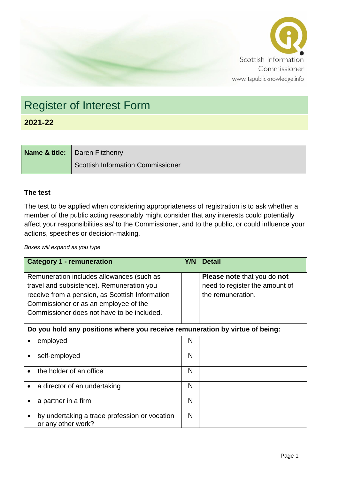

## Register of Interest Form

**2021-22**

| <b>Name &amp; title:</b>   Daren Fitzhenry |
|--------------------------------------------|
| Scottish Information Commissioner          |

## **The test**

The test to be applied when considering appropriateness of registration is to ask whether a member of the public acting reasonably might consider that any interests could potentially affect your responsibilities as/ to the Commissioner, and to the public, or could influence your actions, speeches or decision-making.

*Boxes will expand as you type*

| <b>Category 1 - remuneration</b>                                             | Y/N | <b>Detail</b>                      |
|------------------------------------------------------------------------------|-----|------------------------------------|
| Remuneration includes allowances (such as                                    |     | <b>Please note that you do not</b> |
| travel and subsistence). Remuneration you                                    |     | need to register the amount of     |
| receive from a pension, as Scottish Information                              |     | the remuneration.                  |
| Commissioner or as an employee of the                                        |     |                                    |
| Commissioner does not have to be included.                                   |     |                                    |
| Do you hold any positions where you receive remuneration by virtue of being: |     |                                    |
| employed                                                                     | N   |                                    |
| self-employed                                                                | N   |                                    |
| the holder of an office                                                      | N   |                                    |
| a director of an undertaking<br>$\bullet$                                    | N   |                                    |
| a partner in a firm                                                          | N   |                                    |
| by undertaking a trade profession or vocation<br>or any other work?          | N   |                                    |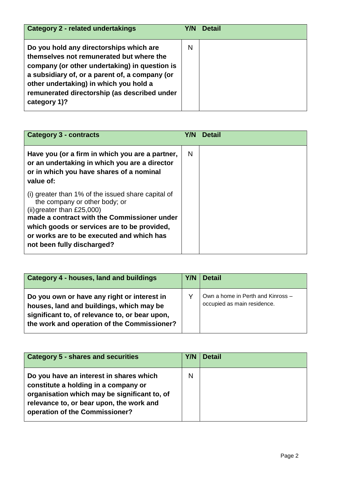| <b>Category 2 - related undertakings</b>                                                                                                                                                                                                                                                         | Y/N | <b>Detail</b> |
|--------------------------------------------------------------------------------------------------------------------------------------------------------------------------------------------------------------------------------------------------------------------------------------------------|-----|---------------|
| Do you hold any directorships which are<br>themselves not remunerated but where the<br>company (or other undertaking) in question is<br>a subsidiary of, or a parent of, a company (or<br>other undertaking) in which you hold a<br>remunerated directorship (as described under<br>category 1)? | N   |               |

| <b>Category 3 - contracts</b>                                                                                                                                                                                                                                                                | Y/N | <b>Detail</b> |
|----------------------------------------------------------------------------------------------------------------------------------------------------------------------------------------------------------------------------------------------------------------------------------------------|-----|---------------|
| Have you (or a firm in which you are a partner,<br>or an undertaking in which you are a director<br>or in which you have shares of a nominal<br>value of:                                                                                                                                    | N   |               |
| (i) greater than 1% of the issued share capital of<br>the company or other body; or<br>$(ii)$ greater than £25,000)<br>made a contract with the Commissioner under<br>which goods or services are to be provided,<br>or works are to be executed and which has<br>not been fully discharged? |     |               |

| Category 4 - houses, land and buildings                                                                                                                                                  | Y/N | Detail                                                           |
|------------------------------------------------------------------------------------------------------------------------------------------------------------------------------------------|-----|------------------------------------------------------------------|
| Do you own or have any right or interest in<br>houses, land and buildings, which may be<br>significant to, of relevance to, or bear upon,<br>the work and operation of the Commissioner? |     | Own a home in Perth and Kinross -<br>occupied as main residence. |

| <b>Category 5 - shares and securities</b>                                                                                                                                                                     | Y/N | <b>Detail</b> |
|---------------------------------------------------------------------------------------------------------------------------------------------------------------------------------------------------------------|-----|---------------|
| Do you have an interest in shares which<br>constitute a holding in a company or<br>organisation which may be significant to, of<br>relevance to, or bear upon, the work and<br>operation of the Commissioner? | N   |               |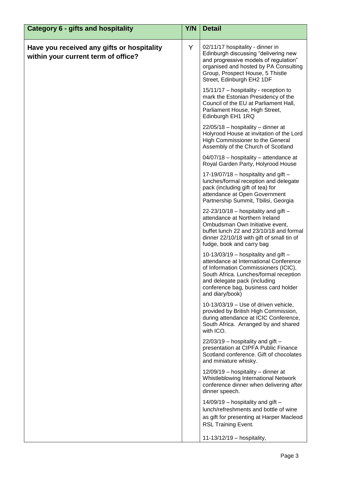| <b>Category 6 - gifts and hospitality</b>                                         | Y/N | <b>Detail</b>                                                                                                                                                                                                                                                 |
|-----------------------------------------------------------------------------------|-----|---------------------------------------------------------------------------------------------------------------------------------------------------------------------------------------------------------------------------------------------------------------|
| Have you received any gifts or hospitality<br>within your current term of office? | Y   | 02/11/17 hospitality - dinner in<br>Edinburgh discussing "delivering new<br>and progressive models of regulation"<br>organised and hosted by PA Consulting<br>Group, Prospect House, 5 Thistle<br>Street, Edinburgh EH2 1DF                                   |
|                                                                                   |     | 15/11/17 - hospitality - reception to<br>mark the Estonian Presidency of the<br>Council of the EU at Parliament Hall,<br>Parliament House, High Street,<br>Edinburgh EH1 1RQ                                                                                  |
|                                                                                   |     | 22/05/18 - hospitality - dinner at<br>Holyrood House at invitation of the Lord<br>High Commissioner to the General<br>Assembly of the Church of Scotland                                                                                                      |
|                                                                                   |     | 04/07/18 - hospitality - attendance at<br>Royal Garden Party, Holyrood House                                                                                                                                                                                  |
|                                                                                   |     | 17-19/07/18 - hospitality and gift $-$<br>lunches/formal reception and delegate<br>pack (including gift of tea) for<br>attendance at Open Government<br>Partnership Summit, Tbilisi, Georgia                                                                  |
|                                                                                   |     | $22-23/10/18$ – hospitality and gift –<br>attendance at Northern Ireland<br>Ombudsman Own Initiative event,<br>buffet lunch 22 and 23/10/18 and formal<br>dinner 22/10/18 with gift of small tin of<br>fudge, book and carry bag                              |
|                                                                                   |     | 10-13/03/19 - hospitality and gift $-$<br>attendance at International Conference<br>of Information Commissioners (ICIC),<br>South Africa. Lunches/formal reception<br>and delegate pack (including<br>conference bag, business card holder<br>and diary/book) |
|                                                                                   |     | $10-13/03/19$ – Use of driven vehicle,<br>provided by British High Commission,<br>during attendance at ICIC Conference,<br>South Africa. Arranged by and shared<br>with ICO.                                                                                  |
|                                                                                   |     | $22/03/19$ – hospitality and gift –<br>presentation at CIPFA Public Finance<br>Scotland conference. Gift of chocolates<br>and miniature whisky.                                                                                                               |
|                                                                                   |     | 12/09/19 - hospitality - dinner at<br>Whistleblowing International Network<br>conference dinner when delivering after<br>dinner speech.                                                                                                                       |
|                                                                                   |     | 14/09/19 - hospitality and gift -<br>lunch/refreshments and bottle of wine<br>as gift for presenting at Harper Macleod<br><b>RSL Training Event.</b>                                                                                                          |
|                                                                                   |     | 11-13/12/19 - hospitality,                                                                                                                                                                                                                                    |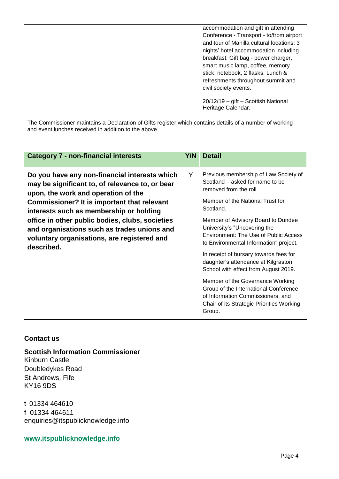|                                                                                                          | accommodation and gift in attending<br>Conference - Transport - to/from airport<br>and tour of Manilla cultural locations; 3<br>nights' hotel accommodation including<br>breakfast; Gift bag - power charger,<br>smart music lamp, coffee, memory<br>stick, notebook, 2 flasks; Lunch &<br>refreshments throughout summit and<br>civil society events.<br>20/12/19 - gift - Scottish National<br>Heritage Calendar. |  |
|----------------------------------------------------------------------------------------------------------|---------------------------------------------------------------------------------------------------------------------------------------------------------------------------------------------------------------------------------------------------------------------------------------------------------------------------------------------------------------------------------------------------------------------|--|
| The Commissioner maintains a Declaration of Gifts register which contains details of a number of working |                                                                                                                                                                                                                                                                                                                                                                                                                     |  |

and event lunches received in addition to the above

| <b>Category 7 - non-financial interests</b>                                                                                                                                                                                                                                                                                                                                                      | Y/N | <b>Detail</b>                                                                                                                                                                                                                                                                                                                                                                                                                                                                                                                                                                                                         |
|--------------------------------------------------------------------------------------------------------------------------------------------------------------------------------------------------------------------------------------------------------------------------------------------------------------------------------------------------------------------------------------------------|-----|-----------------------------------------------------------------------------------------------------------------------------------------------------------------------------------------------------------------------------------------------------------------------------------------------------------------------------------------------------------------------------------------------------------------------------------------------------------------------------------------------------------------------------------------------------------------------------------------------------------------------|
| Do you have any non-financial interests which<br>may be significant to, of relevance to, or bear<br>upon, the work and operation of the<br>Commissioner? It is important that relevant<br>interests such as membership or holding<br>office in other public bodies, clubs, societies<br>and organisations such as trades unions and<br>voluntary organisations, are registered and<br>described. | Y   | Previous membership of Law Society of<br>Scotland – asked for name to be<br>removed from the roll.<br>Member of the National Trust for<br>Scotland.<br>Member of Advisory Board to Dundee<br>University's "Uncovering the<br><b>Environment: The Use of Public Access</b><br>to Environmental Information" project.<br>In receipt of bursary towards fees for<br>daughter's attendance at Kilgraston<br>School with effect from August 2019.<br>Member of the Governance Working<br>Group of the International Conference<br>of Information Commissioners, and<br>Chair of its Strategic Priorities Working<br>Group. |

## **Contact us**

**Scottish Information Commissioner**

Kinburn Castle Doubledykes Road St Andrews, Fife KY16 9DS

t 01334 464610 f 01334 464611 enquiries@itspublicknowledge.info